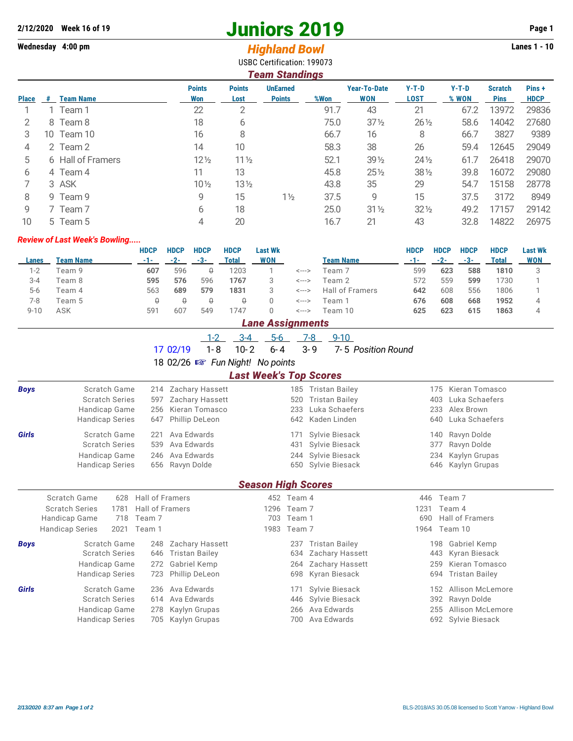# **2/12/2020 Week 16 of 19 Juniors 2019 Page 1**

## **Wednesday 4:00 pm** *Highland Bowl* **Lanes 1 - 10**

|       |          |                  |                      |                       | USBC Certification: 199073       |      |                                   |                        |                  |                               |                       |
|-------|----------|------------------|----------------------|-----------------------|----------------------------------|------|-----------------------------------|------------------------|------------------|-------------------------------|-----------------------|
|       |          |                  |                      |                       | <b>Team Standings</b>            |      |                                   |                        |                  |                               |                       |
| Place | <b>#</b> | <b>Team Name</b> | <b>Points</b><br>Won | <b>Points</b><br>Lost | <b>UnEarned</b><br><b>Points</b> | %Won | <b>Year-To-Date</b><br><b>WON</b> | $Y-T-D$<br><b>LOST</b> | $Y-T-D$<br>% WON | <b>Scratch</b><br><b>Pins</b> | Pins +<br><b>HDCP</b> |
|       |          | Team 1           | 22                   |                       |                                  | 91.7 | 43                                | 21                     | 67.2             | 13972                         | 29836                 |
|       | 8        | Team 8           | 18                   | b                     |                                  | 75.0 | $37\frac{1}{2}$                   | $26\frac{1}{2}$        | 58.6             | 14042                         | 27680                 |
|       | 10       | Team 10          | 16                   |                       |                                  | 66.7 | 16                                | 8                      | 66.7             | 3827                          | 9389                  |
|       |          | Team 2           | 14                   | 10                    |                                  | 58.3 | 38                                | 26                     | 59.4             | 12645                         | 29049                 |

| $\rightarrow$ | Z ICAIILZ         | '∸              | ΙU              |                | JU.J | ഄഄ              | ZU.             | しフ   | ∣∠∪4∪ | ムラリーラ |
|---------------|-------------------|-----------------|-----------------|----------------|------|-----------------|-----------------|------|-------|-------|
| 5             | 6 Hall of Framers | $12\frac{1}{2}$ | $11\frac{1}{2}$ |                | 52.1 | $39\frac{1}{2}$ | $24\frac{1}{2}$ | 61.7 | 26418 | 29070 |
| <sub>b</sub>  | 4 Team 4          | 11              | 13              |                | 45.8 | $25\%$          | $38\frac{1}{2}$ | 39.8 | 16072 | 29080 |
|               | 3 ASK             | $10\%$          | $13\frac{1}{2}$ |                | 43.8 | 35              | 29              | 54.7 | 15158 | 28778 |
| 8             | 9 Team 9          |                 | 15.             | $1\frac{1}{2}$ | 37.5 |                 | 15              | 37.5 | 3172  | 8949  |
| 9             | Team 7            |                 | 18              |                | 25.0 | $31\%$          | $32\frac{1}{2}$ | 49.2 | 17157 | 29142 |
| 10            | 5 Team 5          |                 | 20              |                | 16.7 |                 | 43              | 32.8 | 14822 | 26975 |

#### *Review of Last Week's Bowling.....*

|          |           | HDCP            | <b>HDCP</b> | <b>HDCP</b> | <b>HDCP</b> | <b>Last Wk</b> |       |                  | HDCP | <b>HDCP</b> | <b>HDCP</b> | <b>HDCP</b> | <b>Last Wk</b> |
|----------|-----------|-----------------|-------------|-------------|-------------|----------------|-------|------------------|------|-------------|-------------|-------------|----------------|
| Lanes    | Team Name | -1-             | $-2-$       | $-3-$       | Total       | WON            |       | <b>Team Name</b> | -1-  | -2-         | -3-         | Total       | WON            |
| $1 - 2$  | Team 9    | 607             | 596         | ₿           | 1203        |                | <---> | Team 7           | 599  | 623         | 588         | 1810        |                |
| $3 - 4$  | Team 8    | 595             | 576         | 596         | 1767        |                | <---> | Team 2           | 572  | 559         | 599         | 1730        |                |
| $5-6$    | Team 4    | 563             | 689         | 579         | 1831        |                | <---> | Hall of Framers  | 642  | 608         | 556         | 1806        |                |
| 7-8      | Team 5    |                 | ↔           | ₿           |             |                | <---> | Team 1           | 676  | 608         | 668         | 1952        |                |
| $9 - 10$ | ASK       | 59 <sup>°</sup> | 607         | 549         | 747         |                | <---> | Team 10          | 625  | 623         | 615         | 1863        |                |

## *Lane Assignments*

|--|

|  |  |  |  |  |  | 17 02/19  1-8  10-2  6-4  3-9  7-5  Position Round |
|--|--|--|--|--|--|----------------------------------------------------|
|--|--|--|--|--|--|----------------------------------------------------|

18 02/26 { *Fun Night! No points*

### *Last Week's Top Scores*

| <b>Boys</b> | Scratch Game                   | Zachary Hassett<br>214       | 185                       | <b>Tristan Bailey</b> | 175  | Kieran Tomasco        |  |
|-------------|--------------------------------|------------------------------|---------------------------|-----------------------|------|-----------------------|--|
|             | <b>Scratch Series</b>          | Zachary Hassett<br>597       | 520                       | <b>Tristan Bailey</b> | 403  | Luka Schaefers        |  |
|             | Handicap Game                  | Kieran Tomasco<br>256        | 233                       | Luka Schaefers        | 233  | Alex Brown            |  |
|             | <b>Handicap Series</b>         | Phillip DeLeon<br>647        | 642                       | Kaden Linden          | 640  | Luka Schaefers        |  |
| Girls       | Scratch Game                   | Ava Edwards<br>221           | 171                       | Sylvie Biesack        | 140  | Ravyn Dolde           |  |
|             | <b>Scratch Series</b>          | Ava Edwards<br>539           | 431                       | Sylvie Biesack        | 377  | Ravyn Dolde           |  |
|             | Handicap Game                  | Ava Edwards<br>246           | 244                       | Sylvie Biesack        | 234  | Kaylyn Grupas         |  |
|             | <b>Handicap Series</b>         | Ravyn Dolde<br>656           |                           | 650 Sylvie Biesack    | 646  | Kaylyn Grupas         |  |
|             |                                |                              | <b>Season High Scores</b> |                       |      |                       |  |
|             | Scratch Game<br>628            | Hall of Framers              | 452 Team 4                |                       | 446  | Team 7                |  |
|             | <b>Scratch Series</b><br>1781  | <b>Hall of Framers</b>       | Team 7<br>1296            |                       | 1231 | Team 4                |  |
|             | Handicap Game<br>718           | Team 7                       | 703<br>Team 1             |                       | 690  | Hall of Framers       |  |
|             | 2021<br><b>Handicap Series</b> | Team 1                       | 1983<br>Team 7            |                       | 1964 | Team 10               |  |
| <b>Boys</b> | Scratch Game                   | Zachary Hassett<br>248       | 237                       | <b>Tristan Bailey</b> | 198  | Gabriel Kemp          |  |
|             | <b>Scratch Series</b>          | 646<br><b>Tristan Bailey</b> | 634                       | Zachary Hassett       | 443  | Kyran Biesack         |  |
|             | Handicap Game                  | Gabriel Kemp<br>272          | 264                       | Zachary Hassett       | 259  | Kieran Tomasco        |  |
|             | <b>Handicap Series</b>         | Phillip DeLeon<br>723        | 698                       | Kyran Biesack         | 694  | <b>Tristan Bailey</b> |  |
| Girls       | Scratch Game                   | Ava Edwards<br>236           | 171                       | Sylvie Biesack        | 152  | Allison McLemore      |  |
|             | <b>Scratch Series</b>          | Ava Edwards<br>614           | 446                       | Sylvie Biesack        | 392  | Ravyn Dolde           |  |
|             | Handicap Game                  | Kaylyn Grupas<br>278         | 266                       | Ava Edwards           | 255  | Allison McLemore      |  |
|             | <b>Handicap Series</b>         | Kaylyn Grupas<br>705         | 700                       | Ava Edwards           |      | 692 Sylvie Biesack    |  |
|             |                                |                              |                           |                       |      |                       |  |